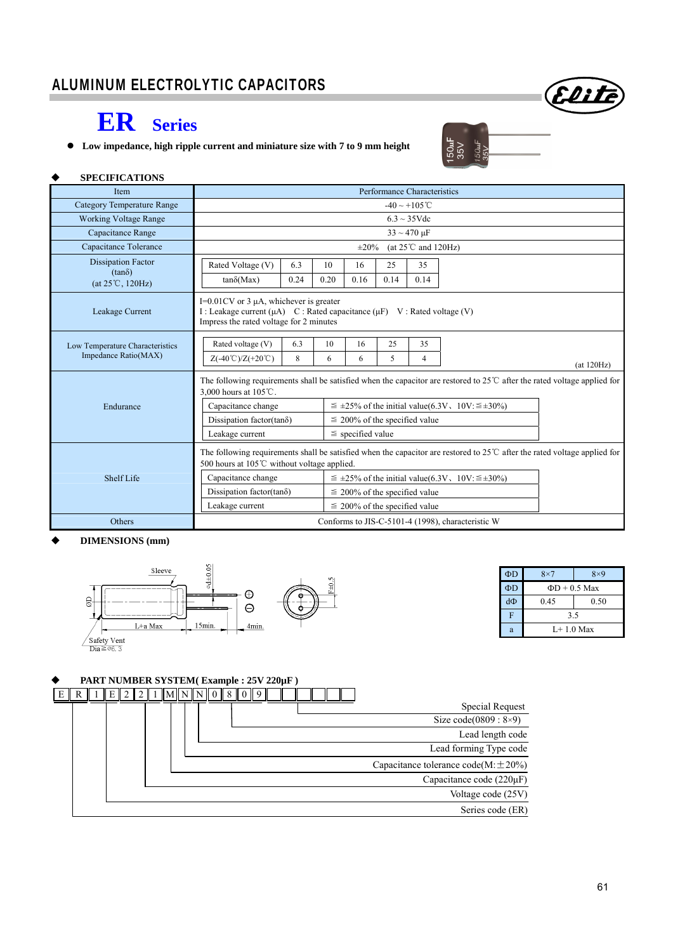

# **ER Series**

**Low impedance, high ripple current and miniature size with 7 to 9 mm height** 

| и<br>٠ |  |
|--------|--|
| ÷.     |  |

#### **SPECIFICATIONS**

| Item                                                                                                                                                                                       | Performance Characteristics                                                                                                                                            |          |         |                                                                   |         |                                   |                                                   |            |  |
|--------------------------------------------------------------------------------------------------------------------------------------------------------------------------------------------|------------------------------------------------------------------------------------------------------------------------------------------------------------------------|----------|---------|-------------------------------------------------------------------|---------|-----------------------------------|---------------------------------------------------|------------|--|
| Category Temperature Range                                                                                                                                                                 | $-40 \sim +105^{\circ}$ C                                                                                                                                              |          |         |                                                                   |         |                                   |                                                   |            |  |
| <b>Working Voltage Range</b>                                                                                                                                                               |                                                                                                                                                                        |          |         |                                                                   |         | $6.3 \sim 35 \text{V}$ de         |                                                   |            |  |
| Capacitance Range                                                                                                                                                                          |                                                                                                                                                                        |          |         |                                                                   |         | $33 \sim 470 \text{ }\mu\text{F}$ |                                                   |            |  |
| Capacitance Tolerance                                                                                                                                                                      |                                                                                                                                                                        |          |         | $\pm 20\%$                                                        |         | (at $25^{\circ}$ C and 120Hz)     |                                                   |            |  |
| <b>Dissipation Factor</b>                                                                                                                                                                  | Rated Voltage (V)                                                                                                                                                      | 6.3      | 10      | 16                                                                | 25      | 35                                |                                                   |            |  |
| $(tan\delta)$<br>$(at 25^{\circ}C, 120Hz)$                                                                                                                                                 | $tan\delta(Max)$                                                                                                                                                       | 0.24     | 0.20    | 0.16                                                              | 0.14    | 0.14                              |                                                   |            |  |
| Leakage Current                                                                                                                                                                            | $I=0.01$ CV or 3 $\mu$ A, whichever is greater<br>I : Leakage current (μA) C : Rated capacitance (μF) V : Rated voltage (V)<br>Impress the rated voltage for 2 minutes |          |         |                                                                   |         |                                   |                                                   |            |  |
| Low Temperature Characteristics<br>Impedance Ratio(MAX)                                                                                                                                    | Rated voltage (V)<br>$Z(-40^{\circ}\text{C})/Z(+20^{\circ}\text{C})$                                                                                                   | 6.3<br>8 | 10<br>6 | 16<br>6                                                           | 25<br>5 | 35<br>4                           |                                                   | (at 120Hz) |  |
|                                                                                                                                                                                            | The following requirements shall be satisfied when the capacitor are restored to $25^{\circ}$ after the rated voltage applied for<br>3.000 hours at 105 ℃.             |          |         |                                                                   |         |                                   |                                                   |            |  |
| Endurance                                                                                                                                                                                  | Capacitance change                                                                                                                                                     |          |         | $\leq \pm 25\%$ of the initial value(6.3V, 10V: $\leq \pm 30\%$ ) |         |                                   |                                                   |            |  |
|                                                                                                                                                                                            | Dissipation factor(tano)                                                                                                                                               |          |         | $\leq$ 200% of the specified value                                |         |                                   |                                                   |            |  |
|                                                                                                                                                                                            | $\le$ specified value<br>Leakage current                                                                                                                               |          |         |                                                                   |         |                                   |                                                   |            |  |
| The following requirements shall be satisfied when the capacitor are restored to $25^{\circ}$ after the rated voltage applied for<br>500 hours at $105^{\circ}$ C without voltage applied. |                                                                                                                                                                        |          |         |                                                                   |         |                                   |                                                   |            |  |
| Shelf Life                                                                                                                                                                                 | Capacitance change                                                                                                                                                     |          |         | $\leq \pm 25\%$ of the initial value(6.3V, 10V: $\leq \pm 30\%$ ) |         |                                   |                                                   |            |  |
|                                                                                                                                                                                            | Dissipation factor(tan $\delta$ )                                                                                                                                      |          |         | $\leq$ 200% of the specified value                                |         |                                   |                                                   |            |  |
|                                                                                                                                                                                            | Leakage current                                                                                                                                                        |          |         | $\leq$ 200% of the specified value                                |         |                                   |                                                   |            |  |
| <b>Others</b>                                                                                                                                                                              |                                                                                                                                                                        |          |         |                                                                   |         |                                   | Conforms to JIS-C-5101-4 (1998), characteristic W |            |  |

#### **DIMENSIONS (mm)**



| ΦD | $8\times7$         | $8\times9$ |  |  |  |  |  |  |  |
|----|--------------------|------------|--|--|--|--|--|--|--|
| ΦD | $\Phi D + 0.5$ Max |            |  |  |  |  |  |  |  |
| dФ | 0.45               | 0.50       |  |  |  |  |  |  |  |
| F  | 3.5                |            |  |  |  |  |  |  |  |
| а  | $I + 1.0$ Max      |            |  |  |  |  |  |  |  |

### **PART NUMBER SYSTEM( Example : 25V 220µF )**